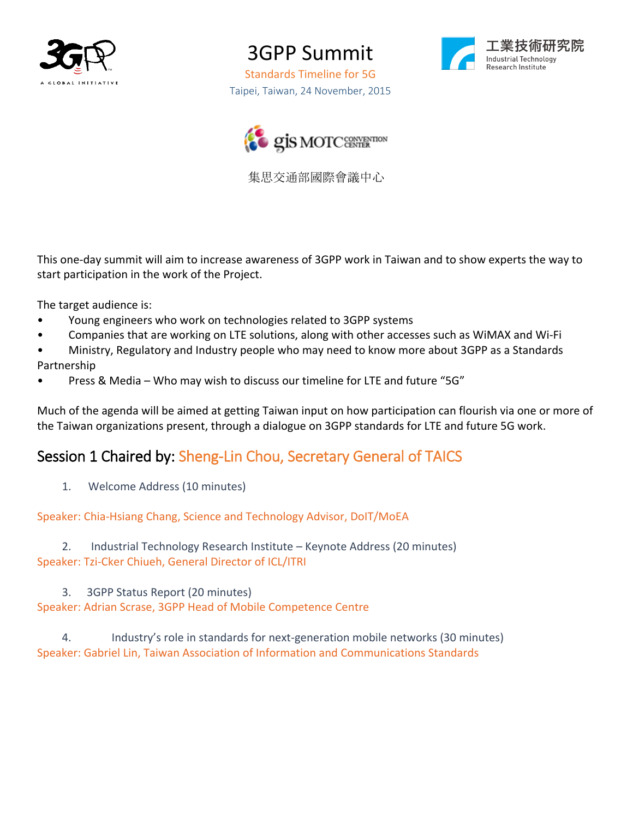

3GPP Summit

Standards Timeline for 5G Taipei, Taiwan, 24 November, 2015





集思交通部國際會議中心

This one-day summit will aim to increase awareness of 3GPP work in Taiwan and to show experts the way to start participation in the work of the Project.

The target audience is:

- Young engineers who work on technologies related to 3GPP systems
- Companies that are working on LTE solutions, along with other accesses such as WiMAX and Wi-Fi
- Ministry, Regulatory and Industry people who may need to know more about 3GPP as a Standards Partnership
- Press & Media Who may wish to discuss our timeline for LTE and future "5G"

Much of the agenda will be aimed at getting Taiwan input on how participation can flourish via one or more of the Taiwan organizations present, through a dialogue on 3GPP standards for LTE and future 5G work.

# Session 1 Chaired by: Sheng-Lin Chou, Secretary General of TAICS

1. Welcome Address (10 minutes)

Speaker: Chia-Hsiang Chang, Science and Technology Advisor, DoIT/MoEA

2. Industrial Technology Research Institute – Keynote Address (20 minutes) Speaker: Tzi-Cker Chiueh, General Director of ICL/ITRI

3. 3GPP Status Report (20 minutes) Speaker: Adrian Scrase, 3GPP Head of Mobile Competence Centre

4. Industry's role in standards for next-generation mobile networks (30 minutes) Speaker: Gabriel Lin, Taiwan Association of Information and Communications Standards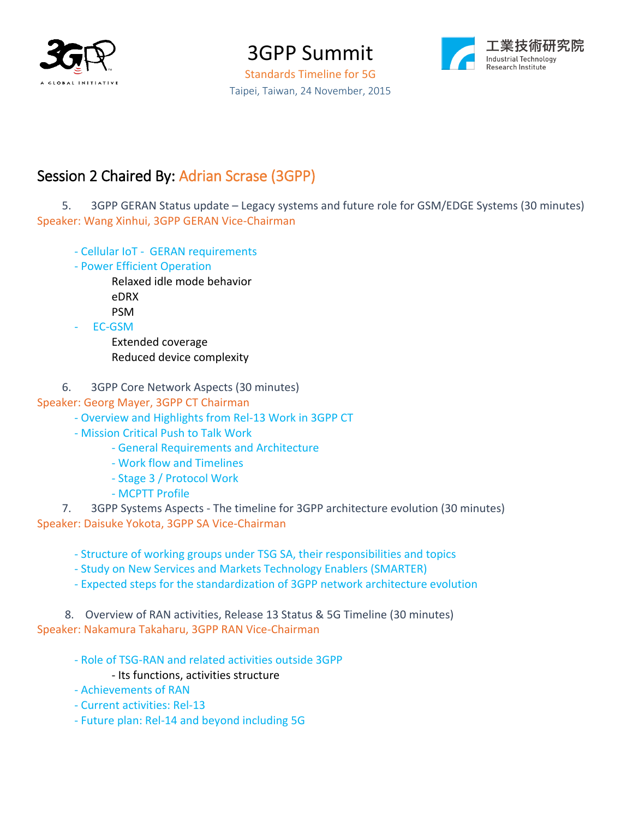

3GPP Summit Standards Timeline for 5G

Taipei, Taiwan, 24 November, 2015



## Session 2 Chaired By: Adrian Scrase (3GPP)

5. 3GPP GERAN Status update – Legacy systems and future role for GSM/EDGE Systems (30 minutes) Speaker: Wang Xinhui, 3GPP GERAN Vice-Chairman

- Cellular IoT GERAN requirements
- Power Efficient Operation
	- Relaxed idle mode behavior eDRX PSM
- EC-GSM

Extended coverage Reduced device complexity

6. 3GPP Core Network Aspects (30 minutes)

### Speaker: Georg Mayer, 3GPP CT Chairman

- Overview and Highlights from Rel-13 Work in 3GPP CT
- Mission Critical Push to Talk Work
	- General Requirements and Architecture
	- Work flow and Timelines
	- Stage 3 / Protocol Work
	- MCPTT Profile

7. 3GPP Systems Aspects - The timeline for 3GPP architecture evolution (30 minutes) Speaker: Daisuke Yokota, 3GPP SA Vice-Chairman

- Structure of working groups under TSG SA, their responsibilities and topics

- Study on New Services and Markets Technology Enablers (SMARTER)
- Expected steps for the standardization of 3GPP network architecture evolution

8. Overview of RAN activities, Release 13 Status & 5G Timeline (30 minutes) Speaker: Nakamura Takaharu, 3GPP RAN Vice-Chairman

- Role of TSG-RAN and related activities outside 3GPP

#### - Its functions, activities structure

- Achievements of RAN
- Current activities: Rel-13
- Future plan: Rel-14 and beyond including 5G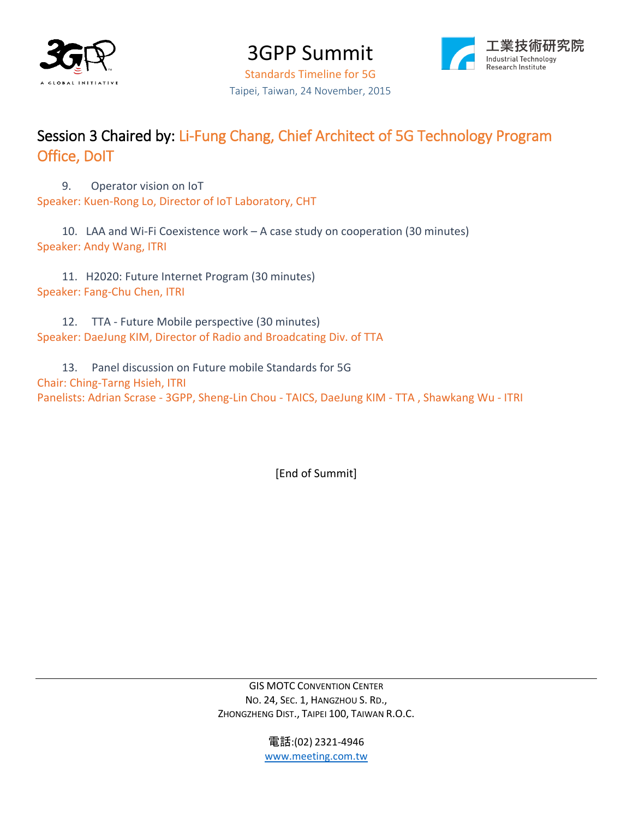

3GPP Summit



Standards Timeline for 5G Taipei, Taiwan, 24 November, 2015

### Session 3 Chaired by: Li-Fung Chang, Chief Architect of 5G Technology Program Office, DoIT

9. Operator vision on IoT Speaker: Kuen-Rong Lo, Director of IoT Laboratory, CHT

10. LAA and Wi-Fi Coexistence work – A case study on cooperation (30 minutes) Speaker: Andy Wang, ITRI

11. H2020: Future Internet Program (30 minutes) Speaker: Fang-Chu Chen, ITRI

12. TTA - Future Mobile perspective (30 minutes) Speaker: DaeJung KIM, Director of Radio and Broadcating Div. of TTA

13. Panel discussion on Future mobile Standards for 5G Chair: Ching-Tarng Hsieh, ITRI Panelists: Adrian Scrase - 3GPP, Sheng-Lin Chou - TAICS, DaeJung KIM - TTA , Shawkang Wu - ITRI

[End of Summit]

GIS MOTC CONVENTION CENTER NO. 24, SEC. 1, HANGZHOU S. RD., ZHONGZHENG DIST., TAIPEI 100, TAIWAN R.O.C.

> 電話:(02) 2321-4946 [www.meeting.com.tw](http://www.meeting.com.tw/)